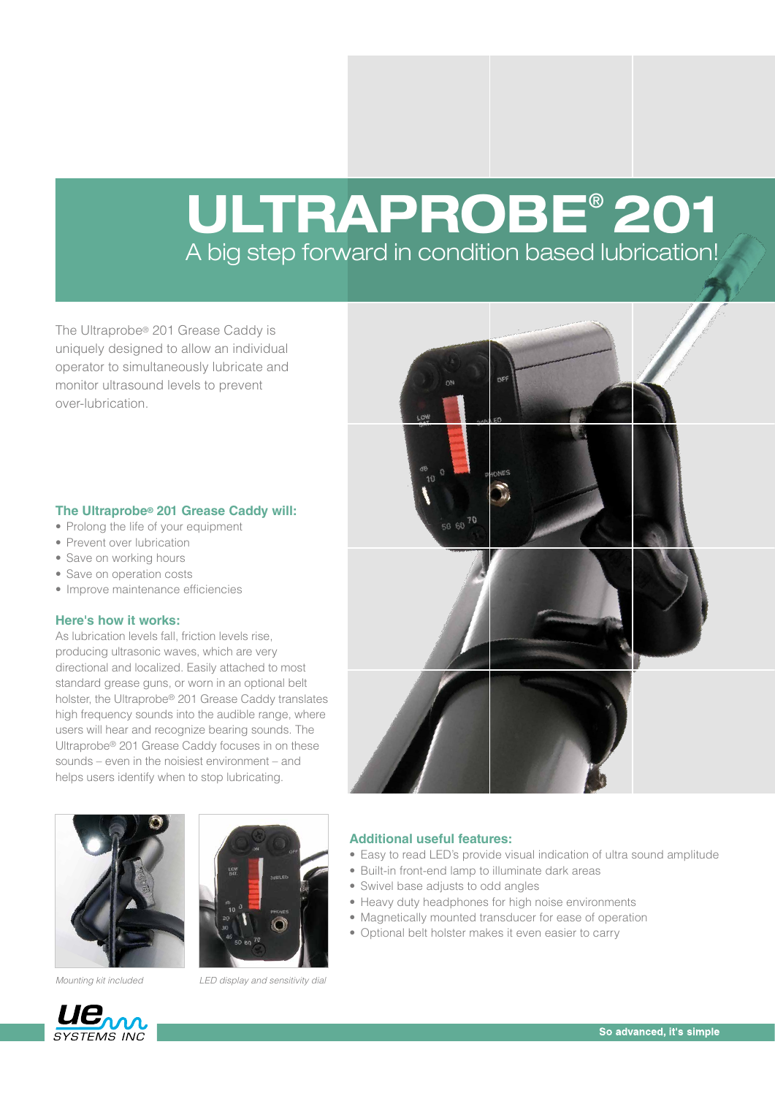## ULTRAPROBE® 201 A big step forward in condition based lubrication!

The Ultraprobe® 201 Grease Caddy is uniquely designed to allow an individual operator to simultaneously lubricate and monitor ultrasound levels to prevent over-lubrication.

#### **The Ultraprobe® 201 Grease Caddy will:**

- Prolong the life of your equipment
- Prevent over lubrication
- Save on working hours
- Save on operation costs
- Improve maintenance efficiencies

#### **Here's how it works:**

As lubrication levels fall, friction levels rise, producing ultrasonic waves, which are very directional and localized. Easily attached to most standard grease guns, or worn in an optional belt holster, the Ultraprobe® 201 Grease Caddy translates high frequency sounds into the audible range, where users will hear and recognize bearing sounds. The Ultraprobe® 201 Grease Caddy focuses in on these sounds – even in the noisiest environment – and helps users identify when to stop lubricating.





*Mounting kit included LED display and sensitivity dial*



#### **Additional useful features:**

- Easy to read LED's provide visual indication of ultra sound amplitude
- Built-in front-end lamp to illuminate dark areas
- Swivel base adjusts to odd angles
- Heavy duty headphones for high noise environments
- Magnetically mounted transducer for ease of operation
- Optional belt holster makes it even easier to carry

# **UE<sub>M</sub>**